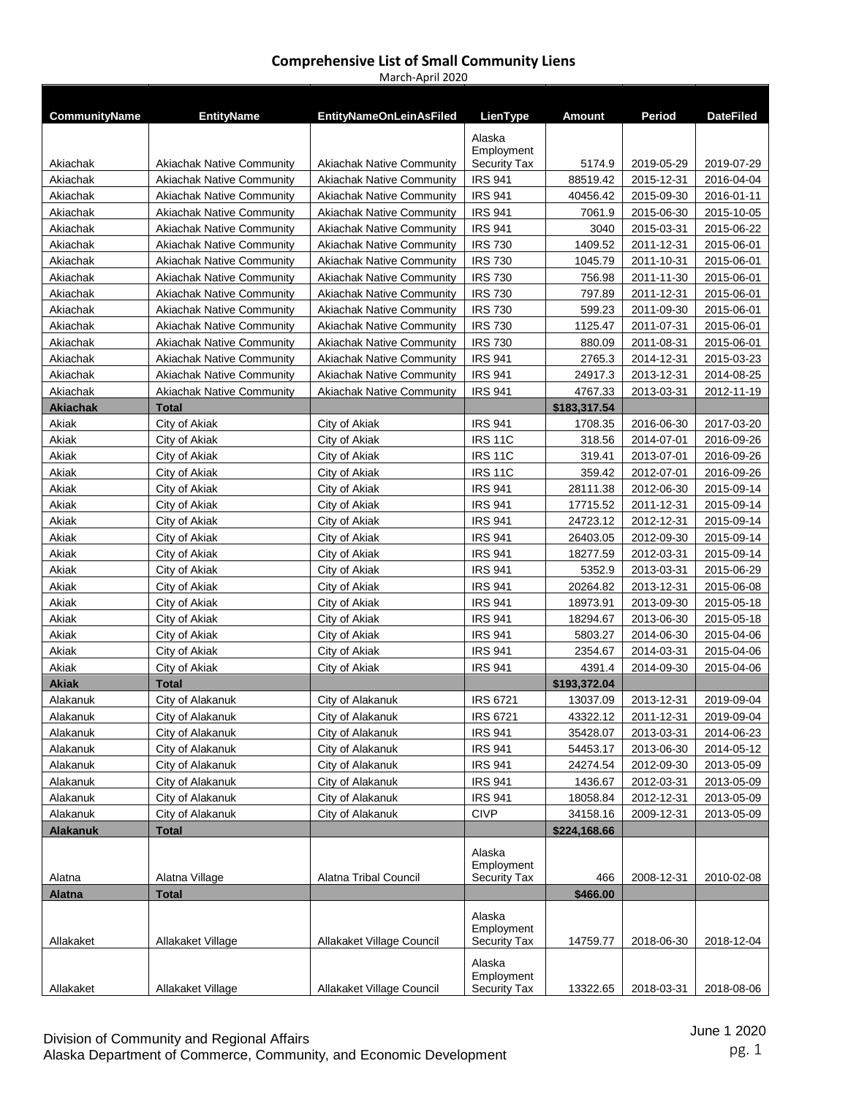| <b>CommunityName</b> | <b>EntityName</b>                | <b>EntityNameOnLeinAsFiled</b>   | LienType                                    | Amount       | Period     | <b>DateFiled</b> |
|----------------------|----------------------------------|----------------------------------|---------------------------------------------|--------------|------------|------------------|
| Akiachak             | <b>Akiachak Native Community</b> | <b>Akiachak Native Community</b> | Alaska<br>Employment<br><b>Security Tax</b> | 5174.9       | 2019-05-29 | 2019-07-29       |
| Akiachak             | <b>Akiachak Native Community</b> | Akiachak Native Community        | <b>IRS 941</b>                              | 88519.42     | 2015-12-31 | 2016-04-04       |
| Akiachak             | <b>Akiachak Native Community</b> | <b>Akiachak Native Community</b> | <b>IRS 941</b>                              | 40456.42     | 2015-09-30 | 2016-01-11       |
| Akiachak             | <b>Akiachak Native Community</b> | Akiachak Native Community        | <b>IRS 941</b>                              | 7061.9       | 2015-06-30 | 2015-10-05       |
| Akiachak             | <b>Akiachak Native Community</b> | <b>Akiachak Native Community</b> | <b>IRS 941</b>                              | 3040         | 2015-03-31 | 2015-06-22       |
| Akiachak             | <b>Akiachak Native Community</b> | <b>Akiachak Native Community</b> | <b>IRS 730</b>                              | 1409.52      | 2011-12-31 | 2015-06-01       |
| Akiachak             | <b>Akiachak Native Community</b> | <b>Akiachak Native Community</b> | <b>IRS 730</b>                              | 1045.79      | 2011-10-31 | 2015-06-01       |
| Akiachak             | <b>Akiachak Native Community</b> | <b>Akiachak Native Community</b> | <b>IRS 730</b>                              | 756.98       | 2011-11-30 | 2015-06-01       |
| Akiachak             | <b>Akiachak Native Community</b> | <b>Akiachak Native Community</b> | <b>IRS 730</b>                              | 797.89       | 2011-12-31 | 2015-06-01       |
| Akiachak             | <b>Akiachak Native Community</b> | <b>Akiachak Native Community</b> | <b>IRS 730</b>                              | 599.23       | 2011-09-30 | 2015-06-01       |
| Akiachak             | <b>Akiachak Native Community</b> | <b>Akiachak Native Community</b> | <b>IRS 730</b>                              | 1125.47      | 2011-07-31 | 2015-06-01       |
| Akiachak             | <b>Akiachak Native Community</b> | <b>Akiachak Native Community</b> | <b>IRS 730</b>                              | 880.09       | 2011-08-31 | 2015-06-01       |
| Akiachak             | <b>Akiachak Native Community</b> | <b>Akiachak Native Community</b> | <b>IRS 941</b>                              | 2765.3       | 2014-12-31 | 2015-03-23       |
| Akiachak             | <b>Akiachak Native Community</b> | <b>Akiachak Native Community</b> | <b>IRS 941</b>                              | 24917.3      | 2013-12-31 | 2014-08-25       |
| Akiachak             | <b>Akiachak Native Community</b> | <b>Akiachak Native Community</b> | <b>IRS 941</b>                              | 4767.33      | 2013-03-31 | 2012-11-19       |
| <b>Akiachak</b>      | <b>Total</b>                     |                                  |                                             | \$183,317.54 |            |                  |
| Akiak                | City of Akiak                    | City of Akiak                    | <b>IRS 941</b>                              | 1708.35      | 2016-06-30 | 2017-03-20       |
| Akiak                | City of Akiak                    | City of Akiak                    | <b>IRS 11C</b>                              | 318.56       | 2014-07-01 | 2016-09-26       |
| Akiak                | City of Akiak                    | City of Akiak                    | <b>IRS 11C</b>                              | 319.41       | 2013-07-01 | 2016-09-26       |
| Akiak                | City of Akiak                    | City of Akiak                    | <b>IRS 11C</b>                              | 359.42       | 2012-07-01 | 2016-09-26       |
| Akiak                | City of Akiak                    | City of Akiak                    | <b>IRS 941</b>                              | 28111.38     | 2012-06-30 | 2015-09-14       |
| Akiak                | City of Akiak                    | City of Akiak                    | <b>IRS 941</b>                              | 17715.52     | 2011-12-31 | 2015-09-14       |
| Akiak                | City of Akiak                    | City of Akiak                    | <b>IRS 941</b>                              | 24723.12     | 2012-12-31 | 2015-09-14       |
| Akiak                | City of Akiak                    | City of Akiak                    | <b>IRS 941</b>                              | 26403.05     | 2012-09-30 | 2015-09-14       |
| Akiak                | City of Akiak                    | City of Akiak                    | <b>IRS 941</b>                              | 18277.59     | 2012-03-31 | 2015-09-14       |
| Akiak                | City of Akiak                    | City of Akiak                    | <b>IRS 941</b>                              | 5352.9       | 2013-03-31 | 2015-06-29       |
| Akiak                | City of Akiak                    | City of Akiak                    | <b>IRS 941</b>                              | 20264.82     | 2013-12-31 | 2015-06-08       |
| Akiak                | City of Akiak                    | City of Akiak                    | <b>IRS 941</b>                              | 18973.91     | 2013-09-30 | 2015-05-18       |
| Akiak                | City of Akiak                    | City of Akiak                    | <b>IRS 941</b>                              | 18294.67     | 2013-06-30 | 2015-05-18       |
| Akiak                | City of Akiak                    | City of Akiak                    | <b>IRS 941</b>                              | 5803.27      | 2014-06-30 | 2015-04-06       |
| Akiak                | City of Akiak                    | City of Akiak                    | <b>IRS 941</b>                              | 2354.67      | 2014-03-31 | 2015-04-06       |
| Akiak                | City of Akiak                    | City of Akiak                    | <b>IRS 941</b>                              | 4391.4       | 2014-09-30 | 2015-04-06       |
| <b>Akiak</b>         | <b>Total</b>                     |                                  |                                             | \$193,372.04 |            |                  |
| Alakanuk             | City of Alakanuk                 | City of Alakanuk                 | <b>IRS 6721</b>                             | 13037.09     | 2013-12-31 | 2019-09-04       |
| Alakanuk             | City of Alakanuk                 | City of Alakanuk                 | <b>IRS 6721</b>                             | 43322.12     | 2011-12-31 | 2019-09-04       |
| Alakanuk             | City of Alakanuk                 | City of Alakanuk                 | <b>IRS 941</b>                              | 35428.07     | 2013-03-31 | 2014-06-23       |
| Alakanuk             | City of Alakanuk                 | City of Alakanuk                 | <b>IRS 941</b>                              | 54453.17     | 2013-06-30 | 2014-05-12       |
| Alakanuk             | City of Alakanuk                 | City of Alakanuk                 | <b>IRS 941</b>                              | 24274.54     | 2012-09-30 | 2013-05-09       |
| Alakanuk             | City of Alakanuk                 | City of Alakanuk                 | <b>IRS 941</b>                              | 1436.67      | 2012-03-31 | 2013-05-09       |
| Alakanuk             | City of Alakanuk                 | City of Alakanuk                 | <b>IRS 941</b>                              | 18058.84     | 2012-12-31 | 2013-05-09       |
| Alakanuk             | City of Alakanuk                 | City of Alakanuk                 | <b>CIVP</b>                                 | 34158.16     | 2009-12-31 | 2013-05-09       |
| <b>Alakanuk</b>      | <b>Total</b>                     |                                  |                                             | \$224,168.66 |            |                  |
| Alatna               | Alatna Village                   | Alatna Tribal Council            | Alaska<br>Employment<br>Security Tax        | 466          | 2008-12-31 | 2010-02-08       |
| <b>Alatna</b>        | Total                            |                                  |                                             | \$466.00     |            |                  |
| Allakaket            | Allakaket Village                | Allakaket Village Council        | Alaska<br>Employment<br><b>Security Tax</b> | 14759.77     | 2018-06-30 | 2018-12-04       |
| Allakaket            | Allakaket Village                | Allakaket Village Council        | Alaska<br>Employment<br><b>Security Tax</b> | 13322.65     | 2018-03-31 | 2018-08-06       |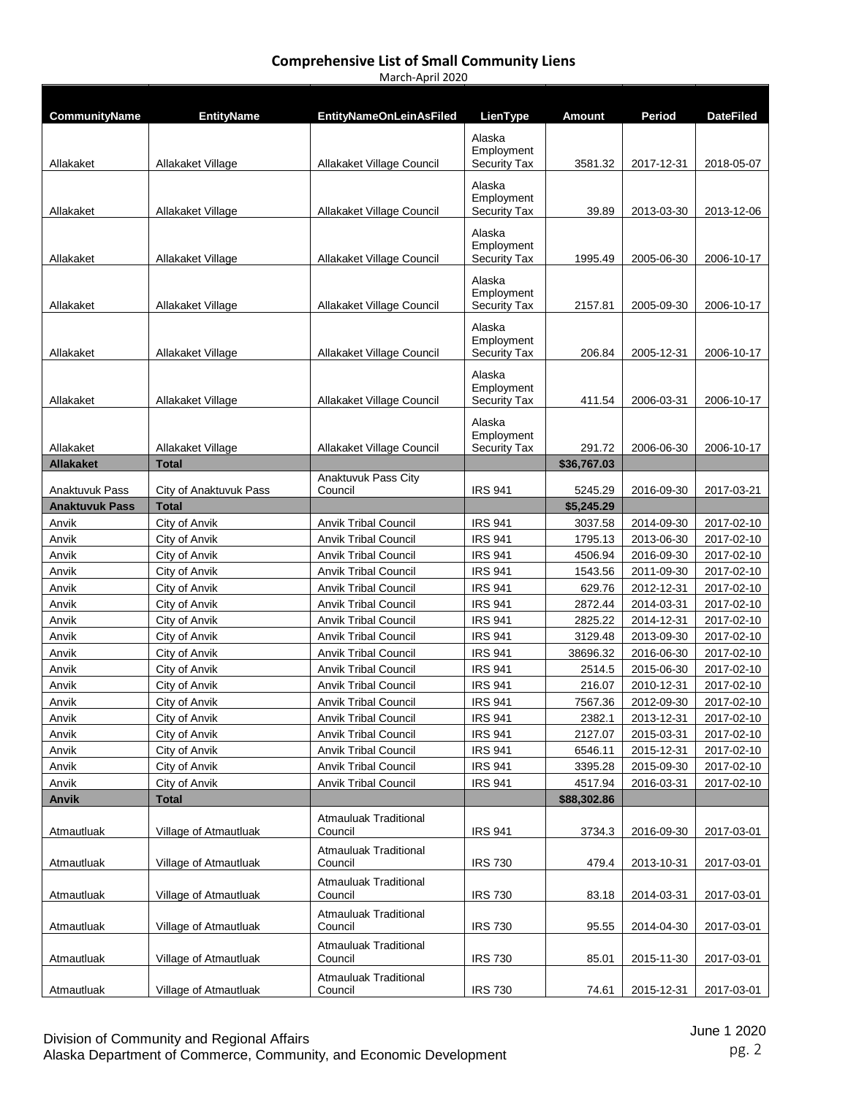| <b>CommunityName</b>           | <b>EntityName</b>              | <b>EntityNameOnLeinAsFiled</b>                             | LienType                                    | Amount                | Period                   | <b>DateFiled</b>         |
|--------------------------------|--------------------------------|------------------------------------------------------------|---------------------------------------------|-----------------------|--------------------------|--------------------------|
| Allakaket                      | Allakaket Village              | Allakaket Village Council                                  | Alaska<br>Employment<br><b>Security Tax</b> | 3581.32               | 2017-12-31               | 2018-05-07               |
|                                |                                |                                                            | Alaska<br>Employment                        |                       |                          |                          |
| Allakaket                      | Allakaket Village              | Allakaket Village Council                                  | <b>Security Tax</b>                         | 39.89                 | 2013-03-30               | 2013-12-06               |
| Allakaket                      | Allakaket Village              | Allakaket Village Council                                  | Alaska<br>Employment<br><b>Security Tax</b> | 1995.49               | 2005-06-30               | 2006-10-17               |
| Allakaket                      | Allakaket Village              | Allakaket Village Council                                  | Alaska<br>Employment<br><b>Security Tax</b> | 2157.81               | 2005-09-30               | 2006-10-17               |
|                                |                                |                                                            |                                             |                       |                          |                          |
| Allakaket                      | Allakaket Village              | Allakaket Village Council                                  | Alaska<br>Employment<br><b>Security Tax</b> | 206.84                | 2005-12-31               | 2006-10-17               |
| Allakaket                      | Allakaket Village              | Allakaket Village Council                                  | Alaska<br>Employment<br><b>Security Tax</b> | 411.54                | 2006-03-31               | 2006-10-17               |
| Allakaket                      | Allakaket Village              | Allakaket Village Council                                  | Alaska<br>Employment<br><b>Security Tax</b> | 291.72                | 2006-06-30               | 2006-10-17               |
| <b>Allakaket</b>               | Total                          |                                                            |                                             | \$36,767.03           |                          |                          |
|                                |                                | Anaktuvuk Pass City                                        |                                             |                       |                          |                          |
| Anaktuvuk Pass                 | City of Anaktuvuk Pass         | Council                                                    | <b>IRS 941</b>                              | 5245.29               | 2016-09-30               | 2017-03-21               |
| <b>Anaktuvuk Pass</b><br>Anvik | <b>Total</b><br>City of Anvik  | <b>Anvik Tribal Council</b>                                | <b>IRS 941</b>                              | \$5,245.29<br>3037.58 | 2014-09-30               | 2017-02-10               |
| Anvik                          | City of Anvik                  | <b>Anvik Tribal Council</b>                                | <b>IRS 941</b>                              | 1795.13               | 2013-06-30               | 2017-02-10               |
| Anvik                          | City of Anvik                  | <b>Anvik Tribal Council</b>                                | <b>IRS 941</b>                              | 4506.94               | 2016-09-30               | 2017-02-10               |
| Anvik                          | City of Anvik                  | <b>Anvik Tribal Council</b>                                | <b>IRS 941</b>                              | 1543.56               | 2011-09-30               | 2017-02-10               |
| Anvik                          | City of Anvik                  | <b>Anvik Tribal Council</b>                                | <b>IRS 941</b>                              | 629.76                | 2012-12-31               | 2017-02-10               |
| Anvik                          | City of Anvik                  | <b>Anvik Tribal Council</b>                                | <b>IRS 941</b>                              | 2872.44               | 2014-03-31               | 2017-02-10               |
| Anvik                          | City of Anvik                  | <b>Anvik Tribal Council</b>                                | <b>IRS 941</b>                              | 2825.22               | 2014-12-31               | 2017-02-10               |
| Anvik                          | City of Anvik                  | <b>Anvik Tribal Council</b>                                | <b>IRS 941</b>                              | 3129.48               | 2013-09-30               | 2017-02-10               |
| Anvik                          | City of Anvik                  | <b>Anvik Tribal Council</b>                                | <b>IRS 941</b>                              | 38696.32              | 2016-06-30               | 2017-02-10               |
| Anvik                          | City of Anvik                  | <b>Anvik Tribal Council</b>                                | <b>IRS 941</b>                              | 2514.5                | 2015-06-30               | 2017-02-10               |
| Anvik                          | City of Anvik                  | <b>Anvik Tribal Council</b>                                | <b>IRS 941</b>                              | 216.07                | 2010-12-31               | 2017-02-10               |
| Anvik                          | City of Anvik                  | <b>Anvik Tribal Council</b>                                | <b>IRS 941</b>                              | 7567.36               | 2012-09-30               | 2017-02-10               |
| Anvik                          | City of Anvik                  | <b>Anvik Tribal Council</b>                                | <b>IRS 941</b>                              | 2382.1                | 2013-12-31               | 2017-02-10               |
| Anvik                          | City of Anvik                  | <b>Anvik Tribal Council</b>                                | <b>IRS 941</b>                              | 2127.07               | 2015-03-31               | 2017-02-10               |
| Anvik<br>Anvik                 | City of Anvik<br>City of Anvik | <b>Anvik Tribal Council</b><br><b>Anvik Tribal Council</b> | <b>IRS 941</b><br><b>IRS 941</b>            | 6546.11<br>3395.28    | 2015-12-31               | 2017-02-10<br>2017-02-10 |
| Anvik                          | City of Anvik                  | <b>Anvik Tribal Council</b>                                | <b>IRS 941</b>                              | 4517.94               | 2015-09-30<br>2016-03-31 | 2017-02-10               |
| Anvik                          | <b>Total</b>                   |                                                            |                                             | \$88,302.86           |                          |                          |
| Atmautluak                     | Village of Atmautluak          | Atmauluak Traditional<br>Council                           | <b>IRS 941</b>                              | 3734.3                | 2016-09-30               | 2017-03-01               |
| Atmautluak                     | Village of Atmautluak          | Atmauluak Traditional<br>Council                           | <b>IRS 730</b>                              | 479.4                 | 2013-10-31               | 2017-03-01               |
| Atmautluak                     | Village of Atmautluak          | <b>Atmauluak Traditional</b><br>Council                    | <b>IRS 730</b>                              | 83.18                 | 2014-03-31               | 2017-03-01               |
| Atmautluak                     | Village of Atmautluak          | <b>Atmauluak Traditional</b><br>Council                    | <b>IRS 730</b>                              | 95.55                 | 2014-04-30               | 2017-03-01               |
| Atmautluak                     | Village of Atmautluak          | <b>Atmauluak Traditional</b><br>Council                    | <b>IRS 730</b>                              | 85.01                 | 2015-11-30               | 2017-03-01               |
| Atmautluak                     | Village of Atmautluak          | Atmauluak Traditional<br>Council                           | <b>IRS 730</b>                              | 74.61                 | 2015-12-31               | 2017-03-01               |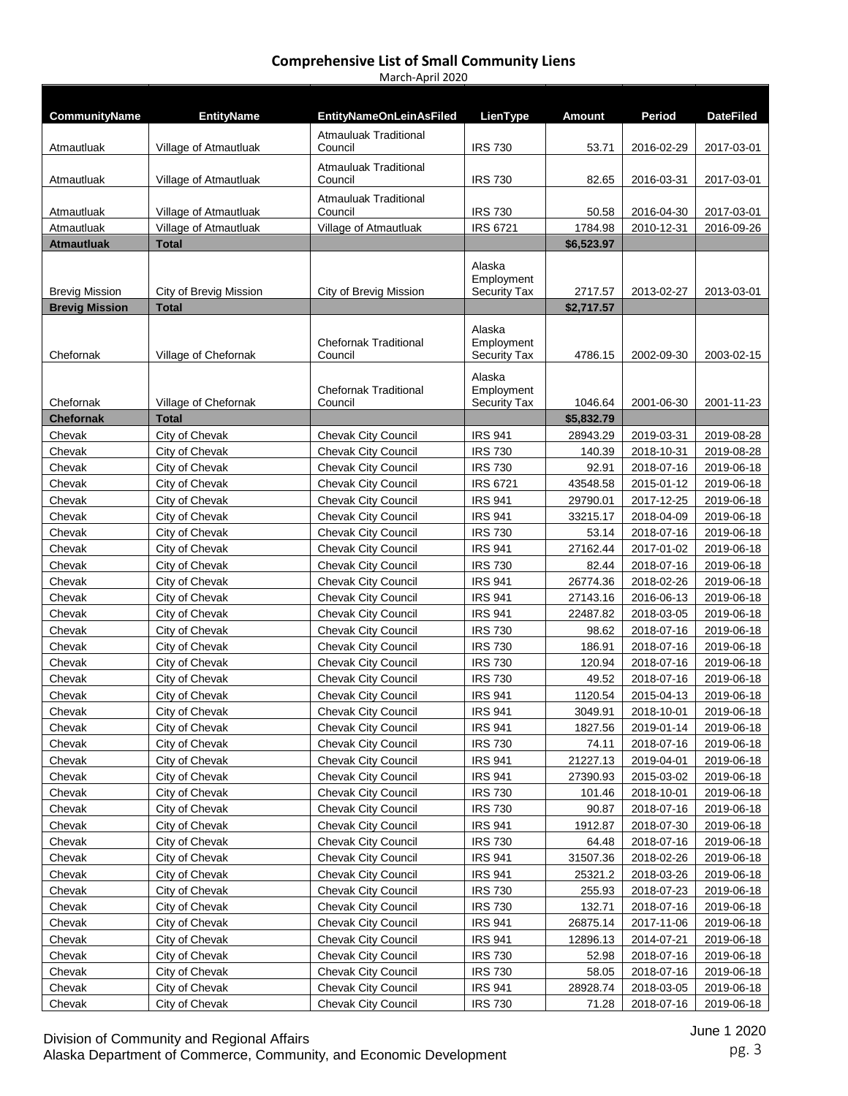| CommunityName         | <b>EntityName</b>                      | <b>EntityNameOnLeinAsFiled</b>             | LienType                                    | <b>Amount</b>        | Period                   | <b>DateFiled</b>         |
|-----------------------|----------------------------------------|--------------------------------------------|---------------------------------------------|----------------------|--------------------------|--------------------------|
| Atmautluak            | Village of Atmautluak                  | <b>Atmauluak Traditional</b><br>Council    | <b>IRS 730</b>                              | 53.71                | 2016-02-29               | 2017-03-01               |
| Atmautluak            | Village of Atmautluak                  | <b>Atmauluak Traditional</b><br>Council    | <b>IRS 730</b>                              | 82.65                | 2016-03-31               | 2017-03-01               |
|                       |                                        | <b>Atmauluak Traditional</b>               |                                             |                      |                          |                          |
| Atmautluak            | Village of Atmautluak                  | Council                                    | <b>IRS 730</b>                              | 50.58                | 2016-04-30               | 2017-03-01               |
| Atmautluak            | Village of Atmautluak                  | Village of Atmautluak                      | <b>IRS 6721</b>                             | 1784.98              | 2010-12-31               | 2016-09-26               |
| <b>Atmautluak</b>     | <b>Total</b>                           |                                            |                                             | \$6,523.97           |                          |                          |
| <b>Brevig Mission</b> |                                        | City of Brevig Mission                     | Alaska<br>Employment<br><b>Security Tax</b> | 2717.57              | 2013-02-27               | 2013-03-01               |
| <b>Brevig Mission</b> | City of Brevig Mission<br><b>Total</b> |                                            |                                             | \$2,717.57           |                          |                          |
| Chefornak             | Village of Chefornak                   | <b>Chefornak Traditional</b><br>Council    | Alaska<br>Employment<br><b>Security Tax</b> | 4786.15              | 2002-09-30               | 2003-02-15               |
| Chefornak             | Village of Chefornak                   | <b>Chefornak Traditional</b><br>Council    | Alaska<br>Employment<br><b>Security Tax</b> | 1046.64              | 2001-06-30               | 2001-11-23               |
| <b>Chefornak</b>      | <b>Total</b>                           |                                            |                                             | \$5,832.79           |                          |                          |
| Chevak                | City of Chevak                         | <b>Chevak City Council</b>                 | <b>IRS 941</b>                              | 28943.29             | 2019-03-31               | 2019-08-28               |
| Chevak                | City of Chevak                         | <b>Chevak City Council</b>                 | <b>IRS 730</b>                              | 140.39               | 2018-10-31               | 2019-08-28               |
| Chevak                | City of Chevak                         | <b>Chevak City Council</b>                 | <b>IRS 730</b>                              | 92.91                | 2018-07-16               | 2019-06-18               |
| Chevak                | City of Chevak                         | <b>Chevak City Council</b>                 | <b>IRS 6721</b>                             | 43548.58             | 2015-01-12               | 2019-06-18               |
| Chevak                | City of Chevak                         | <b>Chevak City Council</b>                 | <b>IRS 941</b>                              | 29790.01             | 2017-12-25               | 2019-06-18               |
| Chevak                | City of Chevak                         | <b>Chevak City Council</b>                 | <b>IRS 941</b>                              | 33215.17             | 2018-04-09               | 2019-06-18               |
| Chevak                | City of Chevak                         | <b>Chevak City Council</b>                 | <b>IRS 730</b>                              | 53.14                | 2018-07-16               | 2019-06-18               |
| Chevak                | City of Chevak                         | <b>Chevak City Council</b>                 | <b>IRS 941</b>                              | 27162.44             | 2017-01-02               | 2019-06-18               |
| Chevak                | City of Chevak                         | <b>Chevak City Council</b>                 | <b>IRS 730</b>                              | 82.44                | 2018-07-16               | 2019-06-18               |
| Chevak                | City of Chevak                         | Chevak City Council                        | <b>IRS 941</b>                              | 26774.36             | 2018-02-26               | 2019-06-18               |
| Chevak                | City of Chevak                         | Chevak City Council                        | <b>IRS 941</b>                              | 27143.16             | 2016-06-13               | 2019-06-18               |
| Chevak                | City of Chevak                         | Chevak City Council                        | <b>IRS 941</b>                              | 22487.82             | 2018-03-05               | 2019-06-18               |
| Chevak                | City of Chevak                         | <b>Chevak City Council</b>                 | <b>IRS 730</b>                              | 98.62                | 2018-07-16               | 2019-06-18               |
| Chevak                | City of Chevak                         | Chevak City Council                        | <b>IRS 730</b>                              | 186.91               | 2018-07-16               | 2019-06-18               |
| Chevak                | City of Chevak                         | <b>Chevak City Council</b>                 | <b>IRS 730</b>                              | 120.94               | 2018-07-16               | 2019-06-18               |
| Chevak                | City of Chevak                         | Chevak City Council                        | <b>IRS 730</b>                              | 49.52                | 2018-07-16               | 2019-06-18               |
| Chevak                | City of Chevak                         | <b>Chevak City Council</b>                 | <b>IRS 941</b>                              | 1120.54              | 2015-04-13               | 2019-06-18               |
| Chevak                | City of Chevak                         | Chevak City Council                        | <b>IRS 941</b>                              | 3049.91              | 2018-10-01               | 2019-06-18               |
| Chevak                | City of Chevak                         | Chevak City Council                        | <b>IRS 941</b>                              | 1827.56              | 2019-01-14               | 2019-06-18               |
| Chevak                | City of Chevak                         | Chevak City Council                        | <b>IRS 730</b>                              | 74.11                | 2018-07-16               | 2019-06-18               |
| Chevak                | City of Chevak                         | Chevak City Council                        | <b>IRS 941</b>                              | 21227.13             | 2019-04-01               | 2019-06-18               |
| Chevak                | City of Chevak                         | <b>Chevak City Council</b>                 | <b>IRS 941</b>                              | 27390.93             | 2015-03-02               | 2019-06-18               |
| Chevak                | City of Chevak                         | Chevak City Council                        | <b>IRS 730</b>                              | 101.46               | 2018-10-01               | 2019-06-18               |
| Chevak                | City of Chevak                         | Chevak City Council                        | <b>IRS 730</b>                              | 90.87                | 2018-07-16               | 2019-06-18               |
| Chevak                | City of Chevak                         | Chevak City Council                        | <b>IRS 941</b>                              | 1912.87              | 2018-07-30               | 2019-06-18               |
| Chevak                | City of Chevak                         | <b>Chevak City Council</b>                 | <b>IRS 730</b>                              | 64.48                | 2018-07-16               | 2019-06-18               |
| Chevak                | City of Chevak                         | <b>Chevak City Council</b>                 | <b>IRS 941</b>                              | 31507.36             | 2018-02-26               | 2019-06-18               |
| Chevak                | City of Chevak                         | <b>Chevak City Council</b>                 | <b>IRS 941</b>                              | 25321.2              | 2018-03-26               | 2019-06-18               |
| Chevak                | City of Chevak                         | <b>Chevak City Council</b>                 | <b>IRS 730</b>                              | 255.93               | 2018-07-23               | 2019-06-18               |
| Chevak                | City of Chevak                         | Chevak City Council                        | <b>IRS 730</b>                              | 132.71               | 2018-07-16               | 2019-06-18               |
| Chevak<br>Chevak      | City of Chevak<br>City of Chevak       | Chevak City Council<br>Chevak City Council | <b>IRS 941</b><br><b>IRS 941</b>            | 26875.14<br>12896.13 | 2017-11-06<br>2014-07-21 | 2019-06-18<br>2019-06-18 |
| Chevak                | City of Chevak                         | Chevak City Council                        | <b>IRS 730</b>                              | 52.98                | 2018-07-16               | 2019-06-18               |
| Chevak                | City of Chevak                         | Chevak City Council                        | <b>IRS 730</b>                              | 58.05                | 2018-07-16               | 2019-06-18               |
| Chevak                | City of Chevak                         | Chevak City Council                        | <b>IRS 941</b>                              | 28928.74             | 2018-03-05               | 2019-06-18               |
| Chevak                | City of Chevak                         | Chevak City Council                        | <b>IRS 730</b>                              | 71.28                | 2018-07-16               | 2019-06-18               |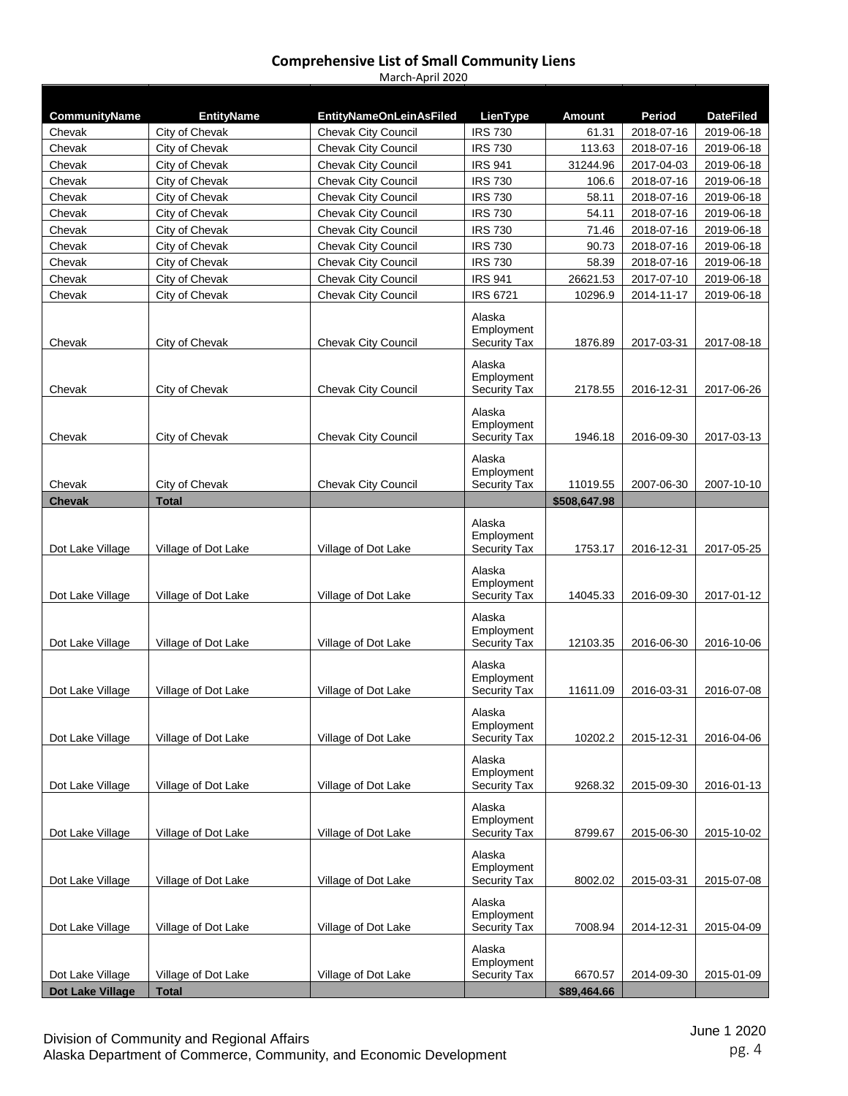| CommunityName           | <b>EntityName</b>                | <b>EntityNameOnLeinAsFiled</b>                           | LienType                                    | <b>Amount</b>  | Period                   | <b>DateFiled</b>         |
|-------------------------|----------------------------------|----------------------------------------------------------|---------------------------------------------|----------------|--------------------------|--------------------------|
| Chevak                  | City of Chevak                   | <b>Chevak City Council</b>                               | <b>IRS 730</b>                              | 61.31          | 2018-07-16               | 2019-06-18               |
| Chevak                  | City of Chevak                   | <b>Chevak City Council</b>                               | <b>IRS 730</b>                              | 113.63         | 2018-07-16               | 2019-06-18               |
| Chevak                  | City of Chevak                   | <b>Chevak City Council</b>                               | <b>IRS 941</b>                              | 31244.96       | 2017-04-03               | 2019-06-18               |
| Chevak                  | City of Chevak                   | Chevak City Council                                      | <b>IRS 730</b>                              | 106.6          | 2018-07-16               | 2019-06-18               |
| Chevak                  | City of Chevak                   | <b>Chevak City Council</b>                               | <b>IRS 730</b>                              | 58.11          | 2018-07-16               | 2019-06-18               |
| Chevak                  | City of Chevak                   | <b>Chevak City Council</b>                               | <b>IRS 730</b><br><b>IRS 730</b>            | 54.11          | 2018-07-16<br>2018-07-16 | 2019-06-18               |
| Chevak<br>Chevak        | City of Chevak<br>City of Chevak | <b>Chevak City Council</b><br><b>Chevak City Council</b> | <b>IRS 730</b>                              | 71.46<br>90.73 | 2018-07-16               | 2019-06-18<br>2019-06-18 |
| Chevak                  | City of Chevak                   | Chevak City Council                                      | <b>IRS 730</b>                              | 58.39          | 2018-07-16               | 2019-06-18               |
| Chevak                  | City of Chevak                   | Chevak City Council                                      | <b>IRS 941</b>                              | 26621.53       | 2017-07-10               | 2019-06-18               |
| Chevak                  | City of Chevak                   | <b>Chevak City Council</b>                               | <b>IRS 6721</b>                             | 10296.9        | 2014-11-17               | 2019-06-18               |
|                         |                                  |                                                          | Alaska                                      |                |                          |                          |
|                         |                                  |                                                          | Employment                                  |                |                          |                          |
| Chevak                  | City of Chevak                   | <b>Chevak City Council</b>                               | <b>Security Tax</b>                         | 1876.89        | 2017-03-31               | 2017-08-18               |
| Chevak                  | City of Chevak                   | <b>Chevak City Council</b>                               | Alaska<br>Employment<br><b>Security Tax</b> | 2178.55        | 2016-12-31               | 2017-06-26               |
| Chevak                  | City of Chevak                   | <b>Chevak City Council</b>                               | Alaska<br>Employment<br><b>Security Tax</b> | 1946.18        | 2016-09-30               |                          |
|                         |                                  |                                                          |                                             |                |                          | 2017-03-13               |
| Chevak                  | City of Chevak                   | <b>Chevak City Council</b>                               | Alaska<br>Employment<br><b>Security Tax</b> | 11019.55       | 2007-06-30               | 2007-10-10               |
| <b>Chevak</b>           | <b>Total</b>                     |                                                          |                                             | \$508,647.98   |                          |                          |
| Dot Lake Village        | Village of Dot Lake              | Village of Dot Lake                                      | Alaska<br>Employment<br><b>Security Tax</b> | 1753.17        | 2016-12-31               | 2017-05-25               |
| Dot Lake Village        | Village of Dot Lake              | Village of Dot Lake                                      | Alaska<br>Employment<br><b>Security Tax</b> | 14045.33       | 2016-09-30               | 2017-01-12               |
| Dot Lake Village        | Village of Dot Lake              | Village of Dot Lake                                      | Alaska<br>Employment<br><b>Security Tax</b> | 12103.35       | 2016-06-30               | 2016-10-06               |
| Dot Lake Village        | Village of Dot Lake              | Village of Dot Lake                                      | Alaska<br>Employment<br><b>Security Tax</b> | 11611.09       | 2016-03-31               | 2016-07-08               |
| Dot Lake Village        | Village of Dot Lake              | Village of Dot Lake                                      | Alaska<br>Employment<br><b>Security Tax</b> | 10202.2        | 2015-12-31               | 2016-04-06               |
| Dot Lake Village        | Village of Dot Lake              | Village of Dot Lake                                      | Alaska<br>Employment<br><b>Security Tax</b> | 9268.32        | 2015-09-30               | 2016-01-13               |
| Dot Lake Village        | Village of Dot Lake              | Village of Dot Lake                                      | Alaska<br>Employment<br><b>Security Tax</b> | 8799.67        | 2015-06-30               | 2015-10-02               |
| Dot Lake Village        | Village of Dot Lake              | Village of Dot Lake                                      | Alaska<br>Employment<br>Security Tax        | 8002.02        | 2015-03-31               | 2015-07-08               |
| Dot Lake Village        | Village of Dot Lake              | Village of Dot Lake                                      | Alaska<br>Employment<br><b>Security Tax</b> | 7008.94        | 2014-12-31               | 2015-04-09               |
| Dot Lake Village        | Village of Dot Lake              | Village of Dot Lake                                      | Alaska<br>Employment<br><b>Security Tax</b> | 6670.57        | 2014-09-30               | 2015-01-09               |
| <b>Dot Lake Village</b> | <b>Total</b>                     |                                                          |                                             | \$89,464.66    |                          |                          |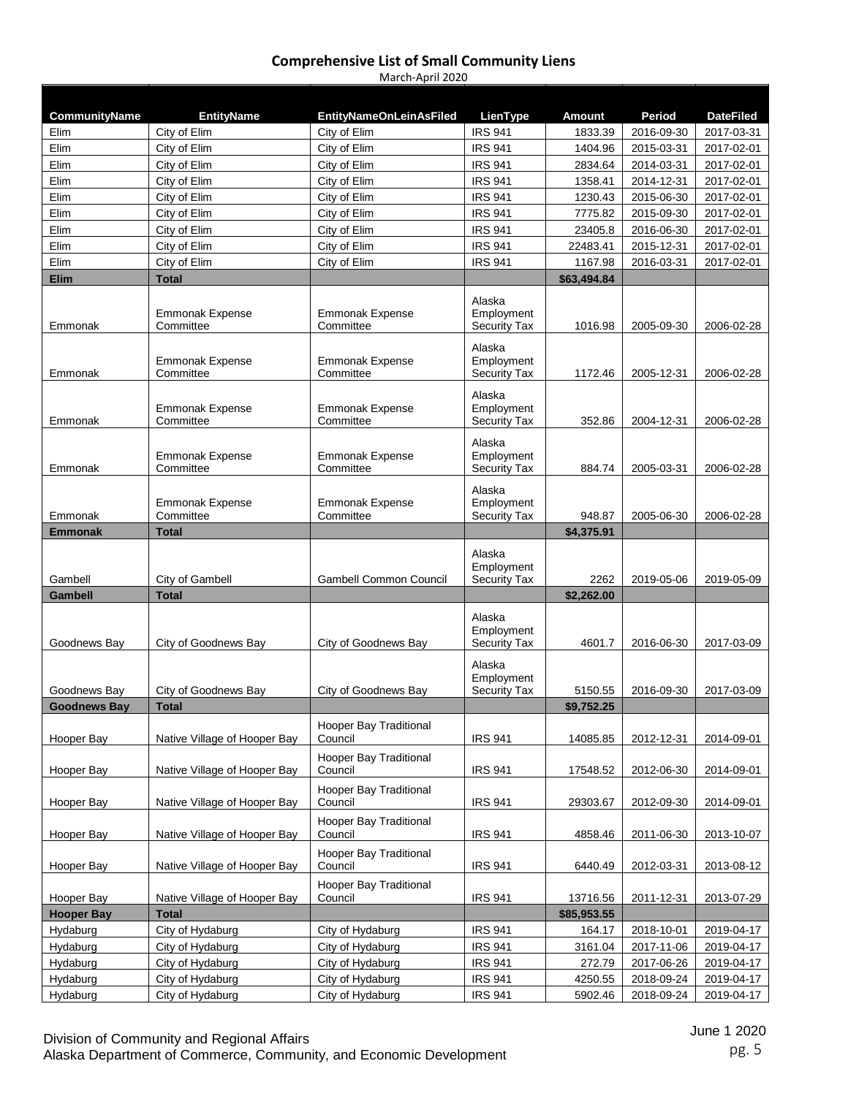| CommunityName       | <b>EntityName</b>                   | <b>EntityNameOnLeinAsFiled</b>      | LienType                          | Amount                  | Period     | <b>DateFiled</b> |
|---------------------|-------------------------------------|-------------------------------------|-----------------------------------|-------------------------|------------|------------------|
| Elim                | City of Elim                        | City of Elim                        | <b>IRS 941</b>                    | 1833.39                 | 2016-09-30 | 2017-03-31       |
| Elim                | City of Elim                        | City of Elim                        | <b>IRS 941</b>                    | 1404.96                 | 2015-03-31 | 2017-02-01       |
| Elim                | City of Elim                        | City of Elim                        | <b>IRS 941</b>                    | 2834.64                 | 2014-03-31 | 2017-02-01       |
| Elim                | City of Elim                        | City of Elim                        | <b>IRS 941</b>                    | 1358.41                 | 2014-12-31 | 2017-02-01       |
| Elim                | City of Elim                        | City of Elim                        | <b>IRS 941</b>                    | 1230.43                 | 2015-06-30 | 2017-02-01       |
| Elim                | City of Elim                        | City of Elim                        | <b>IRS 941</b>                    | 7775.82                 | 2015-09-30 | 2017-02-01       |
| Elim                | City of Elim                        | City of Elim                        | <b>IRS 941</b>                    | 23405.8                 | 2016-06-30 | 2017-02-01       |
| Elim                | City of Elim                        | City of Elim                        | <b>IRS 941</b>                    | 22483.41                | 2015-12-31 | 2017-02-01       |
| Elim                | City of Elim                        | City of Elim                        | <b>IRS 941</b>                    | 1167.98                 | 2016-03-31 | 2017-02-01       |
| <b>Elim</b>         | <b>Total</b>                        |                                     |                                   | \$63,494.84             |            |                  |
|                     |                                     |                                     | Alaska                            |                         |            |                  |
|                     | <b>Emmonak Expense</b>              | <b>Emmonak Expense</b>              | Employment                        |                         |            |                  |
| Emmonak             | Committee                           | Committee                           | <b>Security Tax</b>               | 1016.98                 | 2005-09-30 | 2006-02-28       |
|                     | <b>Emmonak Expense</b>              | <b>Emmonak Expense</b>              | Alaska<br>Employment              |                         |            |                  |
| Emmonak             | Committee                           | Committee                           | <b>Security Tax</b>               | 1172.46                 | 2005-12-31 | 2006-02-28       |
|                     |                                     |                                     | Alaska                            |                         |            |                  |
| Emmonak             | <b>Emmonak Expense</b><br>Committee | <b>Emmonak Expense</b><br>Committee | Employment<br><b>Security Tax</b> | 352.86                  | 2004-12-31 | 2006-02-28       |
|                     |                                     |                                     |                                   |                         |            |                  |
|                     |                                     |                                     | Alaska                            |                         |            |                  |
| Emmonak             | <b>Emmonak Expense</b><br>Committee | <b>Emmonak Expense</b><br>Committee | Employment<br><b>Security Tax</b> | 884.74                  | 2005-03-31 | 2006-02-28       |
|                     |                                     |                                     |                                   |                         |            |                  |
|                     |                                     |                                     | Alaska                            |                         |            |                  |
| Emmonak             | <b>Emmonak Expense</b><br>Committee | <b>Emmonak Expense</b><br>Committee | Employment<br><b>Security Tax</b> | 948.87                  | 2005-06-30 | 2006-02-28       |
| <b>Emmonak</b>      | <b>Total</b>                        |                                     |                                   | \$4,375.91              |            |                  |
|                     |                                     |                                     |                                   |                         |            |                  |
|                     |                                     |                                     | Alaska<br>Employment              |                         |            |                  |
| Gambell             | City of Gambell                     | <b>Gambell Common Council</b>       | <b>Security Tax</b>               | 2262                    | 2019-05-06 | 2019-05-09       |
| Gambell             | <b>Total</b>                        |                                     |                                   | \$2,262.00              |            |                  |
|                     |                                     |                                     |                                   |                         |            |                  |
|                     |                                     |                                     | Alaska<br>Employment              |                         |            |                  |
| Goodnews Bay        | City of Goodnews Bay                | City of Goodnews Bay                | <b>Security Tax</b>               | 4601.7                  | 2016-06-30 | 2017-03-09       |
|                     |                                     |                                     | Alaska                            |                         |            |                  |
|                     |                                     |                                     | Employment                        |                         |            |                  |
| Goodnews Bay        | City of Goodnews Bay                | City of Goodnews Bay                | <b>Security Tax</b>               | 5150.55                 | 2016-09-30 | 2017-03-09       |
| <b>Goodnews Bay</b> | <b>Total</b>                        |                                     |                                   | \$9,752.25              |            |                  |
|                     |                                     | Hooper Bay Traditional              |                                   |                         |            |                  |
| Hooper Bay          | Native Village of Hooper Bay        | Council                             | <b>IRS 941</b>                    | 14085.85                | 2012-12-31 | 2014-09-01       |
|                     |                                     | Hooper Bay Traditional              |                                   |                         |            |                  |
| Hooper Bay          | Native Village of Hooper Bay        | Council                             | <b>IRS 941</b>                    | 17548.52                | 2012-06-30 | 2014-09-01       |
|                     |                                     | Hooper Bay Traditional              |                                   |                         |            |                  |
| Hooper Bay          | Native Village of Hooper Bay        | Council                             | <b>IRS 941</b>                    | 29303.67                | 2012-09-30 | 2014-09-01       |
|                     |                                     | Hooper Bay Traditional              |                                   |                         |            |                  |
| Hooper Bay          | Native Village of Hooper Bay        | Council                             | <b>IRS 941</b>                    | 4858.46                 | 2011-06-30 | 2013-10-07       |
|                     |                                     | <b>Hooper Bay Traditional</b>       |                                   |                         |            |                  |
| Hooper Bay          | Native Village of Hooper Bay        | Council                             | <b>IRS 941</b>                    | 6440.49                 | 2012-03-31 | 2013-08-12       |
| Hooper Bay          | Native Village of Hooper Bay        | Hooper Bay Traditional<br>Council   | <b>IRS 941</b>                    |                         | 2011-12-31 |                  |
| <b>Hooper Bay</b>   | <b>Total</b>                        |                                     |                                   | 13716.56<br>\$85,953.55 |            | 2013-07-29       |
| Hydaburg            | City of Hydaburg                    | City of Hydaburg                    | <b>IRS 941</b>                    | 164.17                  | 2018-10-01 | 2019-04-17       |
| Hydaburg            | City of Hydaburg                    | City of Hydaburg                    | <b>IRS 941</b>                    |                         | 2017-11-06 |                  |
|                     |                                     |                                     | <b>IRS 941</b>                    | 3161.04<br>272.79       |            | 2019-04-17       |
| Hydaburg            | City of Hydaburg                    | City of Hydaburg                    |                                   |                         | 2017-06-26 | 2019-04-17       |
| Hydaburg            | City of Hydaburg                    | City of Hydaburg                    | <b>IRS 941</b>                    | 4250.55                 | 2018-09-24 | 2019-04-17       |
| Hydaburg            | City of Hydaburg                    | City of Hydaburg                    | <b>IRS 941</b>                    | 5902.46                 | 2018-09-24 | 2019-04-17       |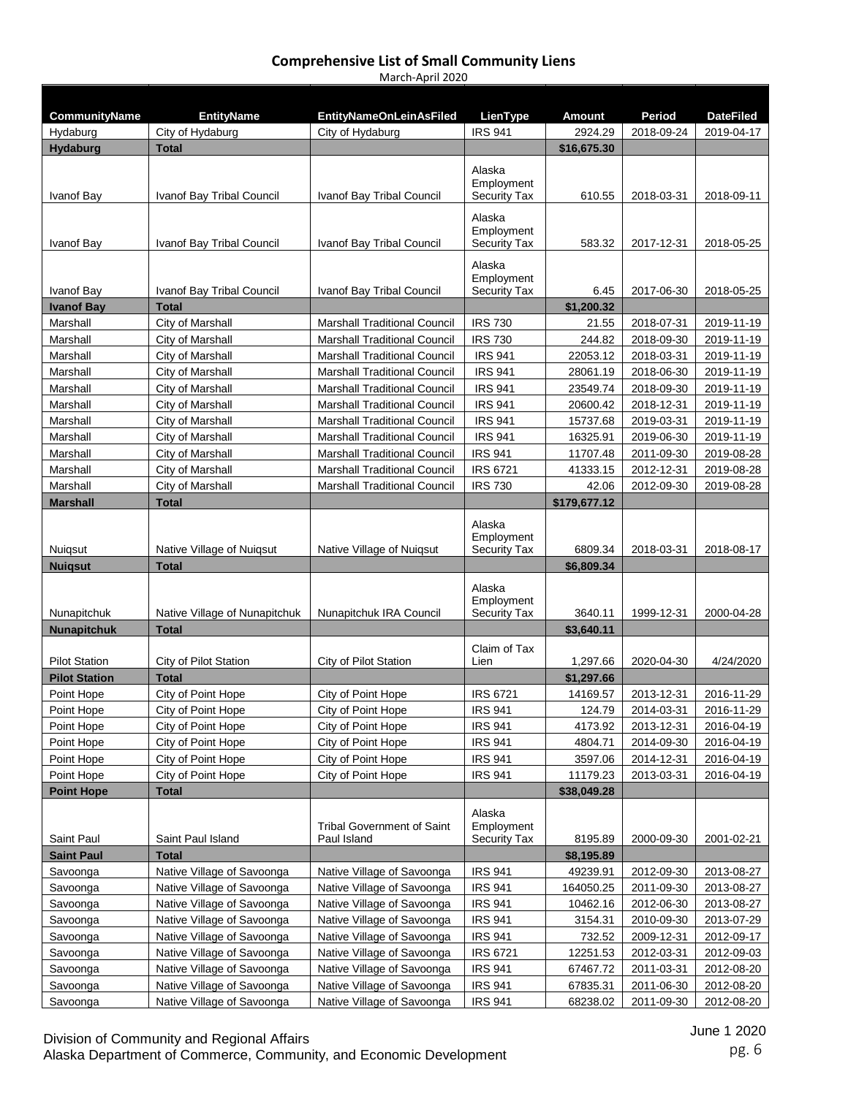| CommunityName        | <b>EntityName</b>             | <b>EntityNameOnLeinAsFiled</b>      | LienType                          | Amount                | Period     | <b>DateFiled</b> |
|----------------------|-------------------------------|-------------------------------------|-----------------------------------|-----------------------|------------|------------------|
| Hydaburg             | City of Hydaburg              | City of Hydaburg                    | <b>IRS 941</b>                    | 2924.29               | 2018-09-24 | 2019-04-17       |
| <b>Hydaburg</b>      | Total                         |                                     |                                   | \$16,675.30           |            |                  |
|                      |                               |                                     | Alaska                            |                       |            |                  |
|                      |                               |                                     | Employment                        |                       |            |                  |
| Ivanof Bay           | Ivanof Bay Tribal Council     | Ivanof Bay Tribal Council           | <b>Security Tax</b>               | 610.55                | 2018-03-31 | 2018-09-11       |
|                      |                               |                                     | Alaska                            |                       |            |                  |
| Ivanof Bay           | Ivanof Bay Tribal Council     | Ivanof Bay Tribal Council           | Employment<br><b>Security Tax</b> | 583.32                | 2017-12-31 | 2018-05-25       |
|                      |                               |                                     |                                   |                       |            |                  |
|                      |                               |                                     | Alaska<br>Employment              |                       |            |                  |
| Ivanof Bay           | Ivanof Bay Tribal Council     | Ivanof Bay Tribal Council           | <b>Security Tax</b>               | 6.45                  | 2017-06-30 | 2018-05-25       |
| <b>Ivanof Bay</b>    | <b>Total</b>                  |                                     |                                   | \$1,200.32            |            |                  |
| Marshall             | City of Marshall              | <b>Marshall Traditional Council</b> | <b>IRS 730</b>                    | 21.55                 | 2018-07-31 | 2019-11-19       |
| Marshall             | City of Marshall              | <b>Marshall Traditional Council</b> | <b>IRS 730</b>                    | 244.82                | 2018-09-30 | 2019-11-19       |
| Marshall             | City of Marshall              | <b>Marshall Traditional Council</b> | <b>IRS 941</b>                    | 22053.12              | 2018-03-31 | 2019-11-19       |
| Marshall             | City of Marshall              | <b>Marshall Traditional Council</b> | <b>IRS 941</b>                    | 28061.19              | 2018-06-30 | 2019-11-19       |
| Marshall             | City of Marshall              | <b>Marshall Traditional Council</b> | <b>IRS 941</b>                    | 23549.74              | 2018-09-30 | 2019-11-19       |
| Marshall             | City of Marshall              | <b>Marshall Traditional Council</b> | <b>IRS 941</b>                    | 20600.42              | 2018-12-31 | 2019-11-19       |
| Marshall             | City of Marshall              | Marshall Traditional Council        | <b>IRS 941</b>                    | 15737.68              | 2019-03-31 | 2019-11-19       |
| Marshall             | City of Marshall              | <b>Marshall Traditional Council</b> | <b>IRS 941</b>                    | 16325.91              | 2019-06-30 | 2019-11-19       |
| Marshall             | City of Marshall              | <b>Marshall Traditional Council</b> | <b>IRS 941</b>                    | 11707.48              | 2011-09-30 | 2019-08-28       |
| Marshall             | City of Marshall              | <b>Marshall Traditional Council</b> | <b>IRS 6721</b>                   | 41333.15              | 2012-12-31 | 2019-08-28       |
| Marshall             | City of Marshall              | <b>Marshall Traditional Council</b> | <b>IRS 730</b>                    | 42.06                 | 2012-09-30 | 2019-08-28       |
| <b>Marshall</b>      | <b>Total</b>                  |                                     |                                   | \$179,677.12          |            |                  |
|                      |                               |                                     | Alaska                            |                       |            |                  |
| Nuigsut              | Native Village of Nuigsut     | Native Village of Nuigsut           | Employment<br><b>Security Tax</b> | 6809.34               | 2018-03-31 | 2018-08-17       |
| <b>Nuigsut</b>       | <b>Total</b>                  |                                     |                                   | \$6,809.34            |            |                  |
|                      |                               |                                     |                                   |                       |            |                  |
|                      |                               |                                     | Alaska<br>Employment              |                       |            |                  |
| Nunapitchuk          | Native Village of Nunapitchuk | Nunapitchuk IRA Council             | <b>Security Tax</b>               | 3640.11               | 1999-12-31 | 2000-04-28       |
| <b>Nunapitchuk</b>   | Total                         |                                     |                                   | \$3,640.11            |            |                  |
|                      |                               |                                     | Claim of Tax                      |                       |            |                  |
| <b>Pilot Station</b> | City of Pilot Station         | City of Pilot Station               | Lien                              | 1,297.66              | 2020-04-30 | 4/24/2020        |
| <b>Pilot Station</b> | <b>Total</b>                  |                                     |                                   | \$1,297.66            |            |                  |
| Point Hope           | City of Point Hope            | City of Point Hope                  | <b>IRS 6721</b>                   | 14169.57              | 2013-12-31 | 2016-11-29       |
| Point Hope           | City of Point Hope            | City of Point Hope                  | <b>IRS 941</b>                    | 124.79                | 2014-03-31 | 2016-11-29       |
| Point Hope           | City of Point Hope            | City of Point Hope                  | <b>IRS 941</b>                    | 4173.92               | 2013-12-31 | 2016-04-19       |
| Point Hope           | City of Point Hope            | City of Point Hope                  | <b>IRS 941</b>                    | 4804.71               | 2014-09-30 | 2016-04-19       |
| Point Hope           | City of Point Hope            | City of Point Hope                  | <b>IRS 941</b>                    | 3597.06               | 2014-12-31 | 2016-04-19       |
| Point Hope           | City of Point Hope            | City of Point Hope                  | <b>IRS 941</b>                    | 11179.23              | 2013-03-31 | 2016-04-19       |
| <b>Point Hope</b>    | <b>Total</b>                  |                                     |                                   | \$38,049.28           |            |                  |
|                      |                               |                                     | Alaska                            |                       |            |                  |
| Saint Paul           |                               | <b>Tribal Government of Saint</b>   | Employment                        |                       |            |                  |
| <b>Saint Paul</b>    | Saint Paul Island<br>Total    | Paul Island                         | <b>Security Tax</b>               | 8195.89<br>\$8,195.89 | 2000-09-30 | 2001-02-21       |
| Savoonga             | Native Village of Savoonga    | Native Village of Savoonga          | <b>IRS 941</b>                    | 49239.91              | 2012-09-30 | 2013-08-27       |
| Savoonga             | Native Village of Savoonga    | Native Village of Savoonga          | <b>IRS 941</b>                    | 164050.25             | 2011-09-30 | 2013-08-27       |
| Savoonga             | Native Village of Savoonga    | Native Village of Savoonga          | <b>IRS 941</b>                    | 10462.16              | 2012-06-30 | 2013-08-27       |
| Savoonga             | Native Village of Savoonga    | Native Village of Savoonga          | <b>IRS 941</b>                    | 3154.31               | 2010-09-30 | 2013-07-29       |
| Savoonga             | Native Village of Savoonga    | Native Village of Savoonga          | <b>IRS 941</b>                    | 732.52                | 2009-12-31 | 2012-09-17       |
| Savoonga             | Native Village of Savoonga    | Native Village of Savoonga          | <b>IRS 6721</b>                   | 12251.53              | 2012-03-31 | 2012-09-03       |
| Savoonga             | Native Village of Savoonga    | Native Village of Savoonga          | <b>IRS 941</b>                    | 67467.72              | 2011-03-31 | 2012-08-20       |
| Savoonga             | Native Village of Savoonga    | Native Village of Savoonga          | <b>IRS 941</b>                    | 67835.31              | 2011-06-30 | 2012-08-20       |
| Savoonga             | Native Village of Savoonga    | Native Village of Savoonga          | <b>IRS 941</b>                    | 68238.02              | 2011-09-30 | 2012-08-20       |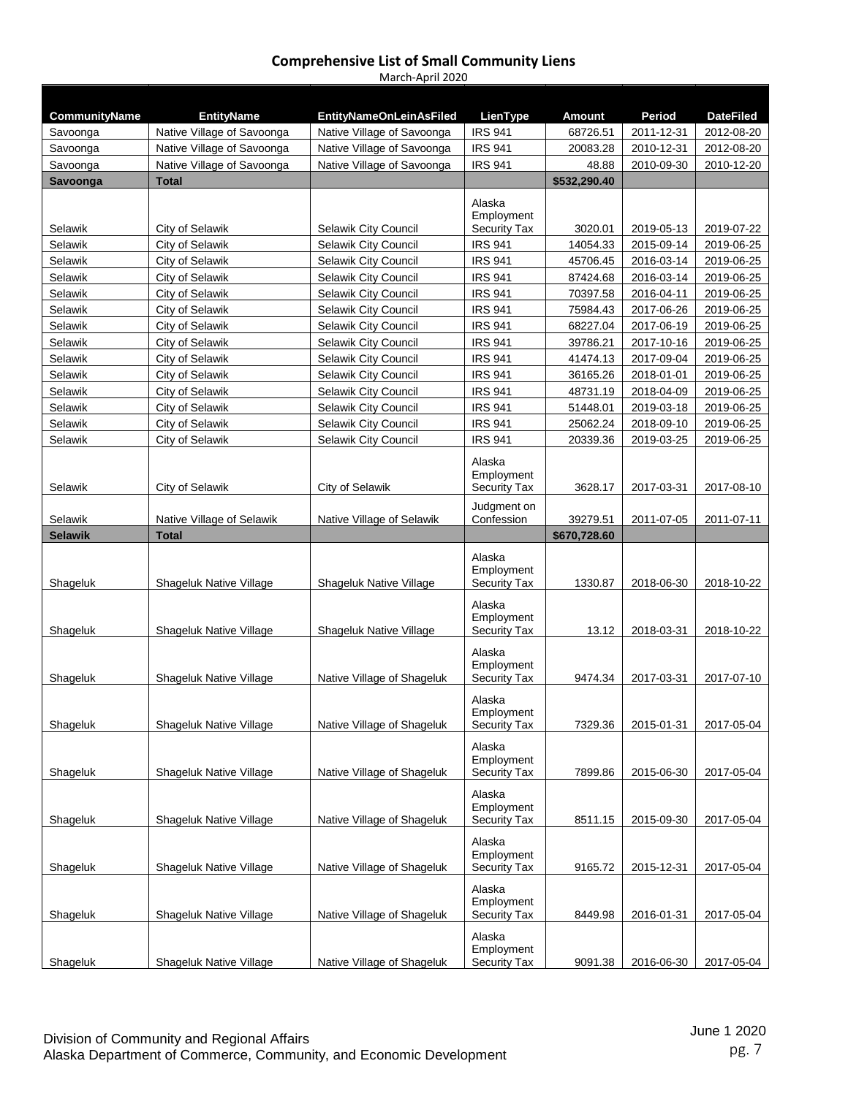| <b>CommunityName</b> | <b>EntityName</b>                                  | <b>EntityNameOnLeinAsFiled</b> | LienType                                    | Amount             | Period                   | <b>DateFiled</b>         |
|----------------------|----------------------------------------------------|--------------------------------|---------------------------------------------|--------------------|--------------------------|--------------------------|
| Savoonga             | Native Village of Savoonga                         | Native Village of Savoonga     | <b>IRS 941</b>                              | 68726.51           | 2011-12-31               | 2012-08-20               |
| Savoonga             | Native Village of Savoonga                         | Native Village of Savoonga     | <b>IRS 941</b>                              | 20083.28           | 2010-12-31               | 2012-08-20               |
| Savoonga             | Native Village of Savoonga                         | Native Village of Savoonga     | <b>IRS 941</b>                              | 48.88              | 2010-09-30               | 2010-12-20               |
| Savoonga             | Total                                              |                                |                                             | \$532,290.40       |                          |                          |
|                      |                                                    |                                | Alaska                                      |                    |                          |                          |
| Selawik              | City of Selawik                                    | Selawik City Council           | Employment<br><b>Security Tax</b>           | 3020.01            | 2019-05-13               | 2019-07-22               |
| Selawik              | City of Selawik                                    | Selawik City Council           | <b>IRS 941</b>                              | 14054.33           | 2015-09-14               | 2019-06-25               |
| Selawik              | City of Selawik                                    | Selawik City Council           | <b>IRS 941</b>                              | 45706.45           | 2016-03-14               | 2019-06-25               |
| Selawik              | City of Selawik                                    | <b>Selawik City Council</b>    | <b>IRS 941</b>                              | 87424.68           | 2016-03-14               | 2019-06-25               |
| Selawik              | City of Selawik                                    | Selawik City Council           | <b>IRS 941</b>                              | 70397.58           | 2016-04-11               | 2019-06-25               |
| Selawik              | City of Selawik                                    | Selawik City Council           | <b>IRS 941</b>                              | 75984.43           | 2017-06-26               | 2019-06-25               |
| Selawik              | City of Selawik                                    | Selawik City Council           | <b>IRS 941</b>                              | 68227.04           | 2017-06-19               | 2019-06-25               |
| Selawik              | City of Selawik                                    | Selawik City Council           | <b>IRS 941</b>                              | 39786.21           | 2017-10-16               | 2019-06-25               |
| Selawik              | City of Selawik                                    | Selawik City Council           | <b>IRS 941</b>                              | 41474.13           | 2017-09-04               | 2019-06-25               |
| Selawik              | City of Selawik                                    | Selawik City Council           | <b>IRS 941</b>                              | 36165.26           | 2018-01-01               | 2019-06-25               |
| Selawik              | City of Selawik                                    | Selawik City Council           | <b>IRS 941</b>                              | 48731.19           | 2018-04-09               | 2019-06-25               |
| Selawik              | City of Selawik                                    | Selawik City Council           | <b>IRS 941</b>                              | 51448.01           | 2019-03-18               | 2019-06-25               |
| Selawik              | City of Selawik                                    | Selawik City Council           | <b>IRS 941</b>                              | 25062.24           | 2018-09-10               | 2019-06-25               |
| Selawik              | City of Selawik                                    | Selawik City Council           | <b>IRS 941</b>                              | 20339.36           | 2019-03-25               | 2019-06-25               |
|                      |                                                    |                                | Alaska<br>Employment                        |                    |                          |                          |
| Selawik              | City of Selawik                                    | City of Selawik                | <b>Security Tax</b>                         | 3628.17            | 2017-03-31               | 2017-08-10               |
| Selawik              | Native Village of Selawik                          | Native Village of Selawik      | Judgment on<br>Confession                   | 39279.51           | 2011-07-05               | 2011-07-11               |
|                      |                                                    |                                |                                             |                    |                          |                          |
| <b>Selawik</b>       | <b>Total</b>                                       |                                |                                             | \$670,728.60       |                          |                          |
| Shageluk             | Shageluk Native Village                            | Shageluk Native Village        | Alaska<br>Employment<br><b>Security Tax</b> | 1330.87            | 2018-06-30               | 2018-10-22               |
| Shageluk             | Shageluk Native Village                            | Shageluk Native Village        | Alaska<br>Employment<br><b>Security Tax</b> | 13.12              | 2018-03-31               | 2018-10-22               |
| Shageluk             | Shageluk Native Village                            | Native Village of Shageluk     | Alaska<br>Employment<br><b>Security Tax</b> | 9474.34            | 2017-03-31               | 2017-07-10               |
| Shageluk             | Shageluk Native Village                            | Native Village of Shageluk     | Alaska<br>Employment<br><b>Security Tax</b> | 7329.36            | 2015-01-31               | 2017-05-04               |
|                      |                                                    | Native Village of Shageluk     | Alaska<br>Employment<br>Security Tax        |                    |                          |                          |
| Shageluk<br>Shageluk | Shageluk Native Village<br>Shageluk Native Village | Native Village of Shageluk     | Alaska<br>Employment<br><b>Security Tax</b> | 7899.86<br>8511.15 | 2015-06-30<br>2015-09-30 | 2017-05-04<br>2017-05-04 |
| Shageluk             | Shageluk Native Village                            | Native Village of Shageluk     | Alaska<br>Employment<br><b>Security Tax</b> | 9165.72            | 2015-12-31               | 2017-05-04               |
| Shageluk             | Shageluk Native Village                            | Native Village of Shageluk     | Alaska<br>Employment<br>Security Tax        | 8449.98            | 2016-01-31               | 2017-05-04               |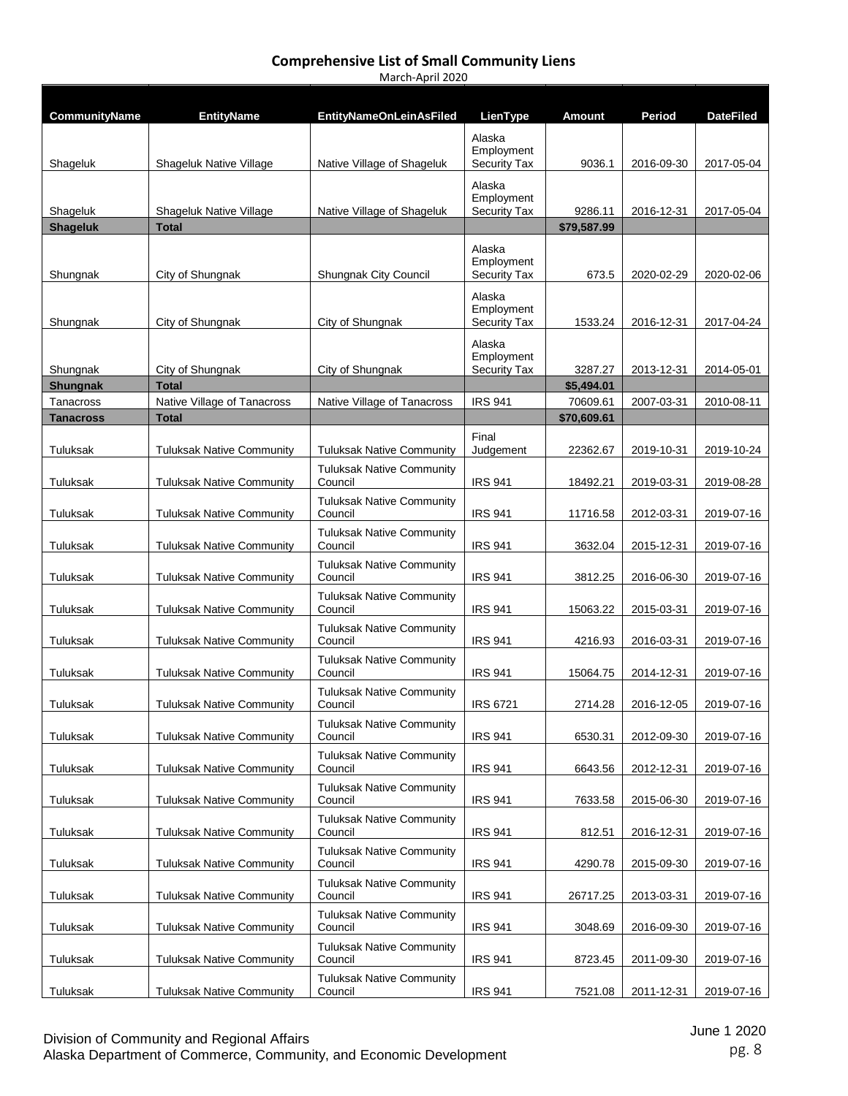| <b>CommunityName</b>          | <b>EntityName</b>                           | <b>EntityNameOnLeinAsFiled</b>              | LienType                                    | Amount                  | Period     | <b>DateFiled</b> |
|-------------------------------|---------------------------------------------|---------------------------------------------|---------------------------------------------|-------------------------|------------|------------------|
| Shageluk                      | Shageluk Native Village                     | Native Village of Shageluk                  | Alaska<br>Employment<br><b>Security Tax</b> | 9036.1                  | 2016-09-30 | 2017-05-04       |
| Shageluk                      | Shageluk Native Village                     | Native Village of Shageluk                  | Alaska<br>Employment<br><b>Security Tax</b> | 9286.11                 | 2016-12-31 | 2017-05-04       |
| <b>Shageluk</b>               | <b>Total</b>                                |                                             |                                             | \$79,587.99             |            |                  |
| Shungnak                      | City of Shungnak                            | <b>Shungnak City Council</b>                | Alaska<br>Employment<br><b>Security Tax</b> | 673.5                   | 2020-02-29 | 2020-02-06       |
| Shungnak                      | City of Shungnak                            | City of Shungnak                            | Alaska<br>Employment<br><b>Security Tax</b> | 1533.24                 | 2016-12-31 | 2017-04-24       |
| Shungnak                      | City of Shungnak                            | City of Shungnak                            | Alaska<br>Employment<br><b>Security Tax</b> | 3287.27                 | 2013-12-31 | 2014-05-01       |
| <b>Shungnak</b>               | <b>Total</b>                                |                                             |                                             | \$5,494.01              |            |                  |
| Tanacross<br><b>Tanacross</b> | Native Village of Tanacross<br><b>Total</b> | Native Village of Tanacross                 | <b>IRS 941</b>                              | 70609.61<br>\$70,609.61 | 2007-03-31 | 2010-08-11       |
| Tuluksak                      | <b>Tuluksak Native Community</b>            | Tuluksak Native Community                   | Final<br>Judgement                          | 22362.67                | 2019-10-31 | 2019-10-24       |
| Tuluksak                      | <b>Tuluksak Native Community</b>            | <b>Tuluksak Native Community</b><br>Council | <b>IRS 941</b>                              | 18492.21                | 2019-03-31 | 2019-08-28       |
| Tuluksak                      | <b>Tuluksak Native Community</b>            | <b>Tuluksak Native Community</b><br>Council | <b>IRS 941</b>                              | 11716.58                | 2012-03-31 | 2019-07-16       |
| Tuluksak                      | <b>Tuluksak Native Community</b>            | <b>Tuluksak Native Community</b><br>Council | <b>IRS 941</b>                              | 3632.04                 | 2015-12-31 | 2019-07-16       |
| Tuluksak                      | <b>Tuluksak Native Community</b>            | <b>Tuluksak Native Community</b><br>Council | <b>IRS 941</b>                              | 3812.25                 | 2016-06-30 | 2019-07-16       |
| Tuluksak                      | <b>Tuluksak Native Community</b>            | <b>Tuluksak Native Community</b><br>Council | <b>IRS 941</b>                              | 15063.22                | 2015-03-31 | 2019-07-16       |
| Tuluksak                      | <b>Tuluksak Native Community</b>            | <b>Tuluksak Native Community</b><br>Council | <b>IRS 941</b>                              | 4216.93                 | 2016-03-31 | 2019-07-16       |
| Tuluksak                      | <b>Tuluksak Native Community</b>            | <b>Tuluksak Native Community</b><br>Council | <b>IRS 941</b>                              | 15064.75                | 2014-12-31 | 2019-07-16       |
| Tuluksak                      | <b>Tuluksak Native Community</b>            | <b>Tuluksak Native Community</b><br>Council | <b>IRS 6721</b>                             | 2714.28                 | 2016-12-05 | 2019-07-16       |
| Tuluksak                      | <b>Tuluksak Native Community</b>            | <b>Tuluksak Native Community</b><br>Council | <b>IRS 941</b>                              | 6530.31                 | 2012-09-30 | 2019-07-16       |
| Tuluksak                      | <b>Tuluksak Native Community</b>            | <b>Tuluksak Native Community</b><br>Council | <b>IRS 941</b>                              | 6643.56                 | 2012-12-31 | 2019-07-16       |
| Tuluksak                      | <b>Tuluksak Native Community</b>            | <b>Tuluksak Native Community</b><br>Council | <b>IRS 941</b>                              | 7633.58                 | 2015-06-30 | 2019-07-16       |
| Tuluksak                      | <b>Tuluksak Native Community</b>            | <b>Tuluksak Native Community</b><br>Council | <b>IRS 941</b>                              | 812.51                  | 2016-12-31 | 2019-07-16       |
| Tuluksak                      | <b>Tuluksak Native Community</b>            | <b>Tuluksak Native Community</b><br>Council | <b>IRS 941</b>                              | 4290.78                 | 2015-09-30 | 2019-07-16       |
| Tuluksak                      | <b>Tuluksak Native Community</b>            | <b>Tuluksak Native Community</b><br>Council | <b>IRS 941</b>                              | 26717.25                | 2013-03-31 | 2019-07-16       |
| Tuluksak                      | <b>Tuluksak Native Community</b>            | <b>Tuluksak Native Community</b><br>Council | <b>IRS 941</b>                              | 3048.69                 | 2016-09-30 | 2019-07-16       |
| Tuluksak                      | <b>Tuluksak Native Community</b>            | <b>Tuluksak Native Community</b><br>Council | <b>IRS 941</b>                              | 8723.45                 | 2011-09-30 | 2019-07-16       |
| Tuluksak                      | <b>Tuluksak Native Community</b>            | <b>Tuluksak Native Community</b><br>Council | <b>IRS 941</b>                              | 7521.08                 | 2011-12-31 | 2019-07-16       |